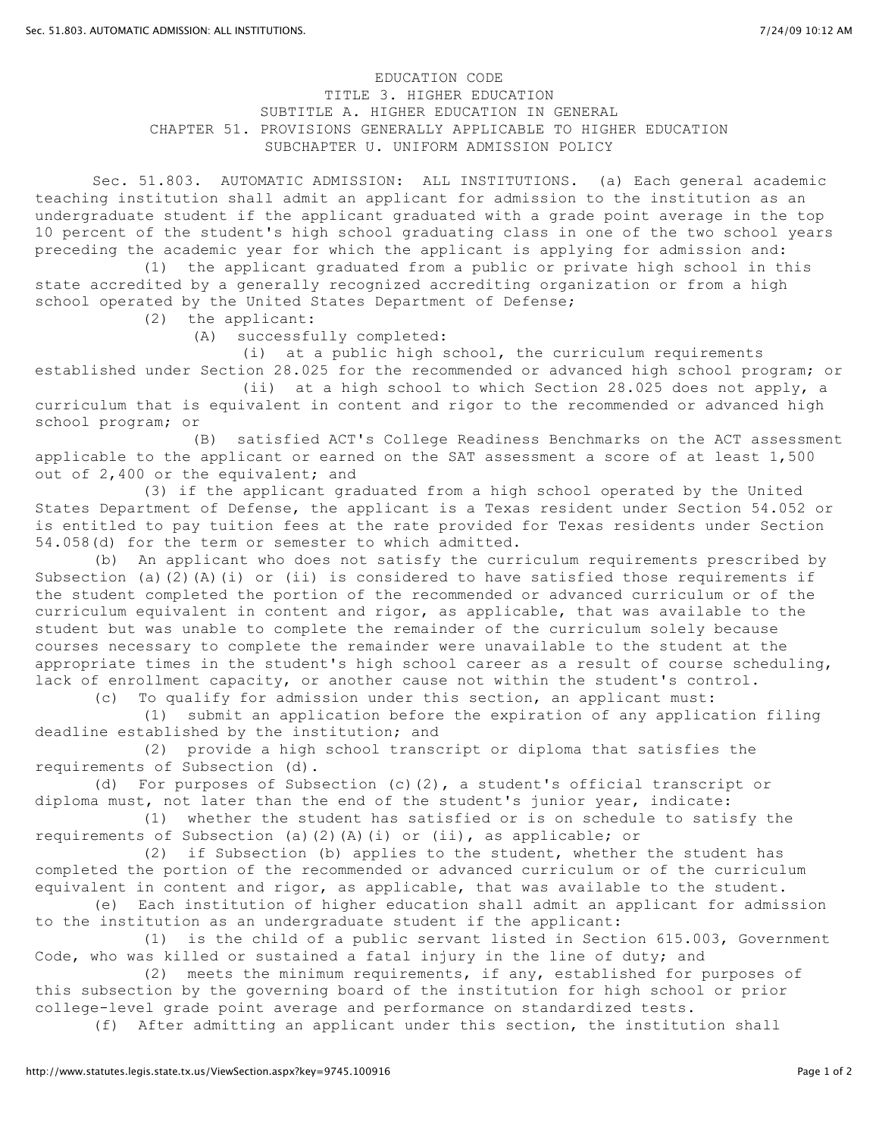## EDUCATION CODE TITLE 3. HIGHER EDUCATION SUBTITLE A. HIGHER EDUCATION IN GENERAL CHAPTER 51. PROVISIONS GENERALLY APPLICABLE TO HIGHER EDUCATION SUBCHAPTER U. UNIFORM ADMISSION POLICY

Sec. 51.803. AUTOMATIC ADMISSION: ALL INSTITUTIONS. (a) Each general academic teaching institution shall admit an applicant for admission to the institution as an undergraduate student if the applicant graduated with a grade point average in the top 10 percent of the student's high school graduating class in one of the two school years preceding the academic year for which the applicant is applying for admission and:

(1) the applicant graduated from a public or private high school in this state accredited by a generally recognized accrediting organization or from a high school operated by the United States Department of Defense;

(2) the applicant:

(A) successfully completed:

(i) at a public high school, the curriculum requirements

established under Section 28.025 for the recommended or advanced high school program; or (ii) at a high school to which Section 28.025 does not apply, a

curriculum that is equivalent in content and rigor to the recommended or advanced high school program; or

(B) satisfied ACT's College Readiness Benchmarks on the ACT assessment applicable to the applicant or earned on the SAT assessment a score of at least 1,500 out of 2,400 or the equivalent; and

(3) if the applicant graduated from a high school operated by the United States Department of Defense, the applicant is a Texas resident under Section 54.052 or is entitled to pay tuition fees at the rate provided for Texas residents under Section 54.058(d) for the term or semester to which admitted.

(b) An applicant who does not satisfy the curriculum requirements prescribed by Subsection (a)(2)(A)(i) or (ii) is considered to have satisfied those requirements if the student completed the portion of the recommended or advanced curriculum or of the curriculum equivalent in content and rigor, as applicable, that was available to the student but was unable to complete the remainder of the curriculum solely because courses necessary to complete the remainder were unavailable to the student at the appropriate times in the student's high school career as a result of course scheduling, lack of enrollment capacity, or another cause not within the student's control.

(c) To qualify for admission under this section, an applicant must:

(1) submit an application before the expiration of any application filing deadline established by the institution; and

(2) provide a high school transcript or diploma that satisfies the requirements of Subsection (d).

(d) For purposes of Subsection (c)(2), a student's official transcript or diploma must, not later than the end of the student's junior year, indicate:

(1) whether the student has satisfied or is on schedule to satisfy the requirements of Subsection (a)(2)(A)(i) or (ii), as applicable; or

(2) if Subsection (b) applies to the student, whether the student has completed the portion of the recommended or advanced curriculum or of the curriculum equivalent in content and rigor, as applicable, that was available to the student.

(e) Each institution of higher education shall admit an applicant for admission to the institution as an undergraduate student if the applicant:

(1) is the child of a public servant listed in Section 615.003, Government Code, who was killed or sustained a fatal injury in the line of duty; and

(2) meets the minimum requirements, if any, established for purposes of this subsection by the governing board of the institution for high school or prior college-level grade point average and performance on standardized tests.

(f) After admitting an applicant under this section, the institution shall